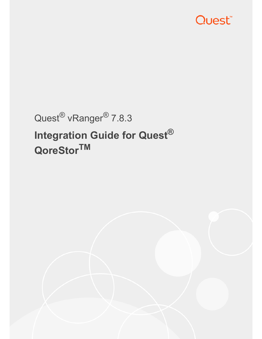

# Quest® vRanger® 7.8.3 **Integration Guide for Quest® QoreStorTM**

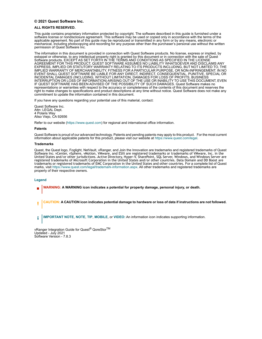#### **© 2021 Quest Software Inc.**

#### **ALL RIGHTS RESERVED.**

This guide contains proprietary information protected by copyright. The software described in this guide is furnished under a software license or nondisclosure agreement. This software may be used or copied only in accordance with the terms of the applicable agreement. No part of this guide may be reproduced or transmitted in any form or by any means, electronic or mechanical, including photocopying and recording for any purpose other than the purchaser's personal use without the written permission of Quest Software Inc.

The information in this document is provided in connection with Quest Software products. No license, express or implied, by estoppel or otherwise, to any intellectual property right is granted by this document or in connection with the sale of Quest Software products. EXCEPT AS SET FORTH IN THE TERMS AND CONDITIONS AS SPECIFIED IN THE LICENSE<br>AGREEMENT FOR THIS PRODUCT, QUEST SOFTWARE ASSUMES NO LIABILITY WHATSOEVER AND DISCLAIMS ANY EXPRESS, IMPLIED OR STATUTORY WARRANTY RELATING TO ITS PRODUCTS INCLUDING, BUT NOT LIMITED TO, THE IMPLIED WARRANTY OF MERCHANTABILITY, FITNESS FOR A PARTICULAR PURPOSE, OR NON-INFRINGEMENT. IN NO<br>EVENT SHALL QUEST SOFTWARE BE LIABLE FOR ANY DIRECT, INDIRECT, CONSEQUENTIAL, PUNITIVE, SPECIAL OR<br>INCIDENTAL DAMAGES (INCLU INTERRUPTION OR LOSS OF INFORMATION) ARISING OUT OF THE USE OR INABILITY TO USE THIS DOCUMENT, EVEN IF QUEST SOFTWARE HAS BEEN ADVISED OF THE POSSIBILITY OF SUCH DAMAGES. Quest Software makes no representations or warranties with respect to the accuracy or completeness of the contents of this document and reserves the right to make changes to specifications and product descriptions at any time without notice. Quest Software does not make any commitment to update the information contained in this document.

If you have any questions regarding your potential use of this material, contact:

Quest Software Inc. Attn: LEGAL Dept. 4 Polaris Way Aliso Viejo, CA 92656

Refer to our website (https://www.quest.com) for regional and international office information.

#### **Patents**

Quest Software is proud of our advanced technology. Patents and pending patents may apply to this product. For the most current<br>information about applicable patents for this product, please visit our website at https://w

#### **Trademarks**

Quest, the Quest logo, Foglight, NetVault, vRanger, and Join the Innovation are trademarks and registered trademarks of Quest Software Inc. vCenter, vSphere, vMotion, VMware, and ESXi are registered trademarks or trademarks of VMware, Inc. in the<br>United Stat[es and/or other jurisdictions. Active Directory, Hyper-V,](https://www.quest.com/legal/trademark-information.aspx) SharePoint, SQL Server, Windows, registered trademarks of Microsoft Corporation in the United States and/or other countries. Data Domain and DD Boost are<br>trademarks or registered trademarks of EMC Corporation in the United States and other countries. For marks, visit https://www.quest.com/legal/trademark-information.aspx. All other trademarks and registered trademarks are property of their respective owners.

#### **Legend**

**WARNING: A WARNING icon indicates a potential for property damage, personal injury, or death.**

**CAUTION: A CAUTION icon indicates potential damage to hardware or loss of data if instructions are not followed.** ţ

**IMPORTANT NOTE**, **NOTE**, **TIP**, **MOBILE**, or **VIDEO:** An information icon indicates supporting information.÷

vRanger Integration Guide for Quest® QoreStorTM Updated - July 2021 Software Version - 7.8.3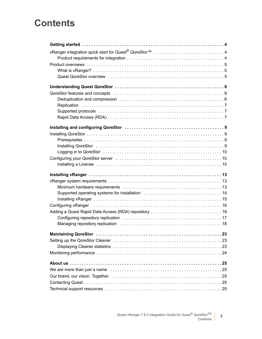## **Contents**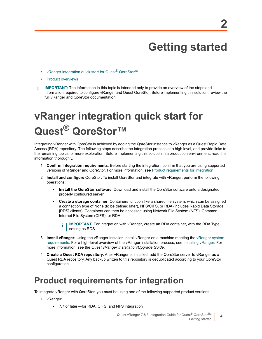# **Getting started**

- **•** [vRanger integration](#page-4-0) quick start for Quest® QoreStor™
- **•** Product overviews
- **IMPORTANT:** The information in this topic is intended only to provide an overview of the steps and f. information required to configure vRanger and Quest QoreStor. Before implementing this solution, review the full vRanger and QoreStor documentation.

# <span id="page-3-0"></span>**vRanger integration quick start for Quest® QoreStor™**

Integrating vRanger with QoreStor is achieved by adding the QoreStor instance to vRanger as a Quest Rapid Data Access (RDA) repository. The following steps describe the integration process at a high level, and provide links to the remaining topics for more exploration. Before implementing this solution in a production environment, read this information thoroughly.

- 1 **Confirm integration requirements**: Before starting the integration, confirm that you are using supported versions of vRanger and QoreStor. For more information, see Product requirements for integration.
- 2 **Install and configure** QoreStor: To install QoreStor and integrate with vRanger, perform the following operations:
	- **Install the QoreStor software**: Download and install the QoreStor software onto a designated, properly configured server.
	- **▪ Create a storage container**: Containers function like a shared file system, which can be assigned a connection type of None (to be defined later), NFS/CIFS, or RDA (includes Rapid Data Storage [RDS] clients). Containers can then be accessed using Network File System (NFS), Common Internet File System (CIFS), or RDA.
		- **IMPORTANT:** For integration with vRanger, create an RDA container, with [the RDA Type](#page-12-2)  ÷ [s](#page-12-2)etting as RDS.
- 3 **Install vRanger:** Using the vRanger installer, install vRanger on a machine meeting the vRanger system requirements. For a high-level overview of the vRanger installation process, see Installing vRanger. For more information, see the *Quest vRanger Installation/Upgrade Guide*.
- <span id="page-3-2"></span>4 **Create a Quest RDA repository**: After vRanger is installed, add the QoreStor server to vRanger as a Quest RDA repository. Any backup written to this repository is deduplicated according to your QoreStor configuration.

## <span id="page-3-1"></span>**Product requirements for integration**

To integrate vRanger with QoreStor, you must be using one of the following supported product versions:

- **•** vRanger:
	- **▪** 7.7 or later for RDA, CIFS, and NFS integration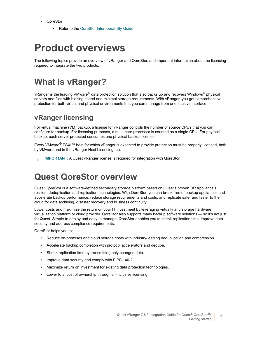- **•** QoreStor
	- **Refer to the QoreStor Interoperability Guide.**

## <span id="page-4-0"></span>**Product overviews**

<span id="page-4-1"></span>The following topics provide an overview of vRanger and QoreStor, and important information about the licensing required to integrate the two products.

## **What is vRanger?**

vRanger is the leading VMware<sup>®</sup> data protection solution that also backs up and recovers Windows<sup>®</sup> physical servers and files with blazing speed and minimal storage requirements. With vRanger, you get comprehensive protection for both virtual and physical environments that you can manage from one intuitive interface.

### **vRanger licensing**

For virtual machine (VM) backup, a license for vRanger controls the number of source CPUs that you can configure for backup. For licensing purposes, a multi-core processor is counted as a single CPU. For physical backup, each server protected consumes one physical backup license.

Every VMware® ESXi™ host for which vRanger is expected to provide protection must be properly licensed, both by VMware and in the vRanger Host Licensing tab.

<span id="page-4-2"></span>**IMPORTANT:** A Quest vRanger license is required for integration with QoreStor. i.

## **Quest QoreStor overview**

Quest QoreStor is a software-defined secondary storage platform based on Quest's proven DR Appliance's resilient deduplication and replication technologies. With QoreStor, you can break free of backup appliances and accelerate backup performance, reduce storage requirements and costs, and replicate safer and faster to the cloud for data archiving, disaster recovery and business continuity.

Lower costs and maximize the return on your IT investment by leveraging virtually any storage hardware, virtualization platform or cloud provider. QoreStor also supports many backup software solutions — so it's not just for Quest. Simple to deploy and easy to manage, QoreStor enables you to shrink replication time, improve data security and address compliance requirements.

QoreStor helps you to:

- **•** Reduce on-premises and cloud storage costs with industry-leading deduplication and compression.
- **•** Accelerate backup completion with protocol accelerators and dedupe.
- **•** Shrink replication time by transmitting only changed data.
- **•** Improve data security and comply with FIPS 140-2.
- **•** Maximize return on investment for existing data protection technologies.
- **•** Lower total cost of ownership through all-inclusive licensing.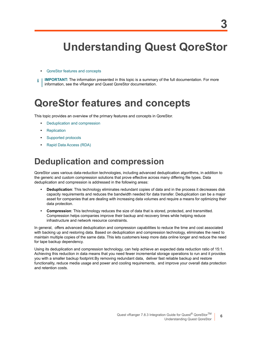# <span id="page-5-0"></span>**Understanding Quest QoreStor**

- **•** QoreStor features and concepts
- <span id="page-5-1"></span>**IMPORTANT:** The information presented in this topic is a summary of the full documentation. For more information, see the vRanger and Quest QoreStor documentation.

# **QoreStor features and concepts**

This to[pic provides an overview of the p](#page-5-2)rimary features and concepts in QoreStor.

- **•** [Deduplicatio](#page-6-0)n and compression
- **•** [Replication](#page-6-1)
- **•** [Supported protocols](#page-6-2)
- <span id="page-5-2"></span>**•** Rapid Data Access (RDA)

## **Deduplication and compression**

QoreStor uses various data-reduction technologies, including advanced deduplication algorithms, in addition to the generic and custom compression solutions that prove effective across many differing file types. Data deduplication and compression is addressed in the following areas:

- **Deduplication**: This technology eliminates redundant copies of data and in the process it decreases disk capacity requirements and reduces the bandwidth needed for data transfer. Deduplication can be a major asset for companies that are dealing with increasing data volumes and require a means for optimizing their data protection.
- **Compression**: This technology reduces the size of data that is stored, protected, and transmitted. Compression helps companies improve their backup and recovery times while helping reduce infrastructure and network resource constraints.

In general, offers advanced deduplication and compression capabilities to reduce the time and cost associated with backing up and restoring data. Based on deduplication and compression technology, eliminates the need to maintain multiple copies of the same data. This lets customers keep more data online longer and reduce the need for tape backup dependency.

Using its deduplication and compression technology, can help achieve an expected data reduction ratio of 15:1. Achieving this reduction in data means that you need fewer incremental storage operations to run and it provides you with a smaller backup footprint.By removing redundant data, deliver fast reliable backup and restore functionality, reduce media usage and power and cooling requirements, and improve your overall data protection and retention costs.

**6**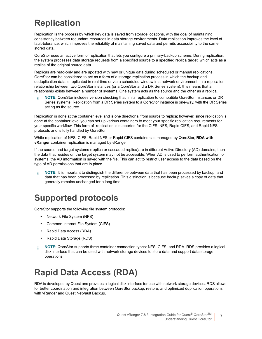## <span id="page-6-0"></span>**Replication**

Replication is the process by which key data is saved from storage locations, with the goal of maintaining consistency between redundant resources in data storage environments. Data replication improves the level of fault-tolerance, which improves the reliability of maintaining saved data and permits accessibility to the same stored data.

QoreStor uses an active form of replication that lets you configure a primary-backup scheme. During replication, the system processes data storage requests from a specified source to a specified replica target, which acts as a replica of the original source data.

Replicas are read-only and are updated with new or unique data during scheduled or manual replications. QoreStor can be considered to act as a form of a storage replication process in which the backup and deduplication data is replicated in real-time or via a scheduled window in a network environment. In a replication relationship between two QoreStor instances (or a QoreStor and a DR Series system), this means that a relationship exists between a number of systems. One system acts as the source and the other as a replica.

**NOTE:** QoreStor includes version checking that limits replication to compatible QoreStor instances or DR Series systems. Replication from a DR Series system to a QoreStor instance is one-way, with the DR Series acting as the source.

Replication is done at the container level and is one directional from source to replica; however, since replication is done at the container level you can set up various containers to meet your specific replication requirements for your specific workflow. This form of replication is supported for the CIFS, NFS, Rapid CIFS, and Rapid NFS protocols and is fully handled by QoreStor.

While replication of NFS, CIFS, Rapid NFS or Rapid CIFS containers is managed by QoreStor, **RDA with vRanger** container replication is managed by vRanger

If the source and target systems (replica or cascaded replica)are in different Active Directory (AD) domains, then the data that resides on the target system may not be accessible. When AD is used to perform authentication for systems, the AD information is saved with the file. This can act to restrict user access to the data based on the type of AD permissions that are in place.

**NOTE:** It is important to distinguish the difference between data that has been processed by backup, and ÷ data that has been processed by replication. This distinction is because backup saves a copy of data that generally remains unchanged for a long time.

## <span id="page-6-1"></span>**Supported protocols**

QoreStor supports the following file system protocols:

- **•** Network File System (NFS)
- **•** Common Internet File System (CIFS)
- **•** Rapid Data Access (RDA)
- **•** Rapid Data Storage (RDS)
- **NOTE:** QoreStor supports three container connection types: NFS, CIFS, and RDA. RDS provides a logical f. disk interface that can be used with network storage devices to store data and support data storage operations.

## <span id="page-6-2"></span>**Rapid Data Access (RDA)**

RDA is developed by Quest and provides a logical disk interface for use with network storage devices. RDS allows for better coordination and integration between QoreStor backup, restore, and optimized duplication operations with vRanger and Quest NetVault Backup.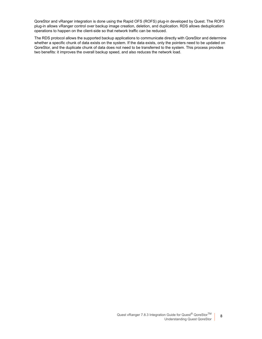QoreStor and vRanger integration is done using the Rapid OFS (ROFS) plug-in developed by Quest. The ROFS plug-in allows vRanger control over backup image creation, deletion, and duplication. RDS allows deduplication operations to happen on the client-side so that network traffic can be reduced.

The RDS protocol allows the supported backup applications to communicate directly with QoreStor and determine whether a specific chunk of data exists on the system. If the data exists, only the pointers need to be updated on QoreStor, and the duplicate chunk of data does not need to be transferred to the system. This process provides two benefits: it improves the overall backup speed, and also reduces the network load.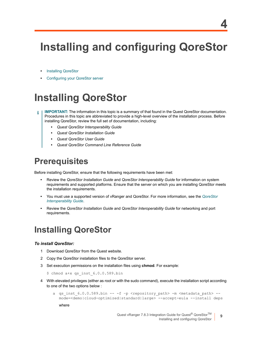# <span id="page-8-0"></span>**Installing and configuring QoreStor**

- **•** [Installing QoreStor](#page-9-1)
- <span id="page-8-1"></span>**•** Configuring your QoreStor server

# **Installing QoreStor**

- **IMPORTANT:** The information in this topic is a summary of that found in the Quest QoreStor documentation. ÷ Procedures in this topic are abbreviated to provide a high-level overview of the installation process. Before installing QoreStor, review the full set of documentation, including:
	- *• Quest QoreStor Interoperability Guide*
	- *• Quest QoreStor Installation Guide*
	- *• Quest QoreStor User Guide*
	- *• Quest QoreStor Command Line Reference Guide*

## <span id="page-8-2"></span>**Prerequisites**

Before installing QoreStor, ensure that the following requirements have been met:

- **•** Review the *QoreStor Installation Guide* and *QoreStor Interoperability Guide* for information on system requirements and supported platforms. Ensure that the server on which you are installing Q[oreStor meets](http://support.quest.com/technical-documents/qorestor/current-version/interoperability-guide/)  [the installation require](http://support.quest.com/technical-documents/qorestor/current-version/interoperability-guide/)ments.
- **•** You must use a supported version of vRanger and QoreStor. For more information, see the *QoreStor Interoperability Guide*.
- <span id="page-8-3"></span>**•** Review the *QoreStor Installation Guide* and *QoreStor Interoperability Guide* for networking and port requirements.

## **Installing QoreStor**

#### *To install QoreStor:*

- 1 Download QoreStor from the Quest website.
- 2 Copy the QoreStor installation files to the QoreStor server.
- 3 Set execution permissions on the installation files using **chmod**. For example:
	- \$ chmod a+x qs inst 6.0.0.589.bin
- 4 With elevated privileges (either as root or with the sudo command), execute the installation script according to one of the two options below :
	- a qs inst 6.0.0.589.bin -- -f -p <repository path> -m <metadata path> -mode=<demo|cloud-optimized|standard|large> --accept-eula --install deps

where

**9**

**4**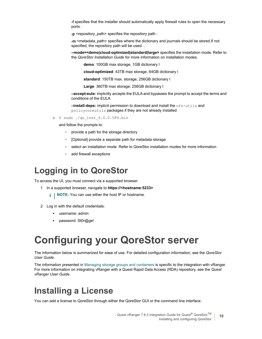-f specifies that the installer should automatically apply firewall rules to open the necessary ports <sup>l</sup>

-p <repository path> specifies the repository path is

-m <metadata\_path> specifies where the dictionary and journals should be stored.If not specified, the repository path will be used.

**--mode=<demo|cloud-optimized|standard|large>** specifies the installation mode. Refer to the *QoreStor Installation Guide* for more information on installation modes.

**demo**: 100GB max storage, 1GB dictionary l

**cloud-optimized**: 43TB max storage, 64GB dictionary l

**standard**: 150TB max. storage, 256GB dictionary l

**Large**: 360TB max storage; 256GB dictionary l

**–accept-eula:** implicitly accepts the EULA and bypasses the prompt to accept the terms and conditions of the EULA

**–install-deps:** implicit permission to download and install the nfs-utils and policycoreutils packages if they are not already installed

b \$ sudo ./qs\_inst\_6.0.0.589.bin

and follow the prompts to:

- **▫** provide a path for the storage directory
- **▫** [Optional] provide a separate path for metadata storage
- **▫** select an installation mode. Refer to QoreStor installation modes for more information
- **▫** add firewall exceptions

## <span id="page-9-0"></span>**Logging in to QoreStor**

To access the UI, you must connect via a supported browser.

- 1 In a supported browser, navigate to **https://<hostname:5233>**
	- **i** | **NOTE:** You can use either the host IP or hostname.
- 2 Log in with the default credentials:
	- **▪** username: admin
	- **▪** password: St0r@ge!

## <span id="page-9-1"></span>**Configuring your QoreStor server**

The information below is su[mmarized for ease of use. For detailed conf](#page-10-0)iguration information, see the *QoreStor User Guide*.

<span id="page-9-2"></span>The information presented in Managing storage groups and containers is specific to the integration with vRanger. For more information on integrating vRanger with a Quest Rapid Data Access (RDA) repository, see the *Quest vRanger User Guide*.

## **Installing a License**

You can add a license to QoreStor through either the QoreStor GUI or the command line interface.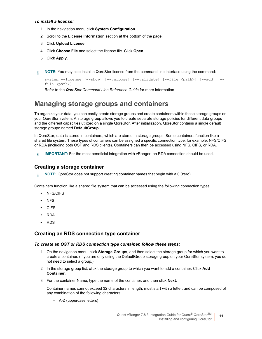### *To install a license:*

- 1 In the navigation menu click **System Configuration.**
- 2 Scroll to the **License Information** section at the bottom of the page.
- 3 Click **Upload License**.
- 4 Click **Choose File** and select the license file. Click **Open**.
- 5 Click **Apply**.
- **NOTE:** You may also install a QoreStor license from the command line interface using the command: ÷

```
system --license [--show] [--verbose] [--validate] [--file <path>] [--add] [--
file <path>]
```
Refer to the *QoreStor Command Line Reference Guide* for more information.

### <span id="page-10-0"></span>**Managing storage groups and containers**

To organize your data, you can easily create storage groups and create containers within those storage groups on your QoreStor system. A storage group allows you to create separate storage policies for different data groups and the different capacities utilized on a single QoreStor. After initialization, QoreStor contains a single default storage groupe named **DefaultGroup**.

In QoreStor, data is stored in containers, which are stored in storage groups. Some containers function like a shared file system. These types of containers can be assigned a specific connection type, for example, NFS/CIFS or RDA (including both OST and RDS clients). Containers can then be accessed using NFS, CIFS, or RDA.

**IMPORTANT:** For the most beneficial integration with vRanger, an RDA connection should be used. i I

### **Creating a storage container**

**NOTE:** QoreStor does not support creating container names that begin with a 0 (zero). i l

Containers function like a shared file system that can be accessed using the following connection types:

- **•** NFS/CIFS
- **•** NFS
- **•** CIFS
- **•** RDA
- **•** RDS

### **Creating an RDS connection type container**

#### *To create an OST or RDS connection type container, follow these steps:*

- 1 On the navigation menu, click **Storage Groups**, and then select the storage group for which you want to create a container. (If you are only using the DefaultGroup storage group on your QoreStor system, you do not need to select a group.)
- 2 In the storage group list, click the storage group to which you want to add a container. Click **Add Container**.
- 3 For the container Name, type the name of the container, and then click **Next**.

Container names cannot exceed 32 characters in length, must start with a letter, and can be composed of any combination of the following characters:

▪ A-Z (uppercase letters)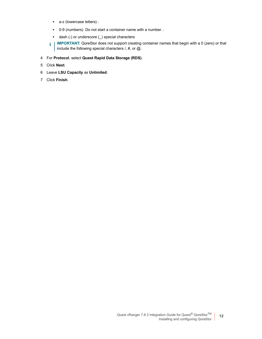- **■** a-z (lowercase letters) i
- **■** 0-9 (numbers). Do not start a container name with a number.
- **▪** dash (-) or underscore (\_) special characters
- **i** | IMPORTANT: QoreStor does not support creating container names that begin with a 0 (zero) or that include the following special characters  $/$ , #, or  $@$ .
- 4 For **Protocol**, select **Quest Rapid Data Storage (RDS)**.
- 5 Click **Next**.
- 6 Leave **LSU Capacity** as **Unlimited**.
- 7 Click **Finish**.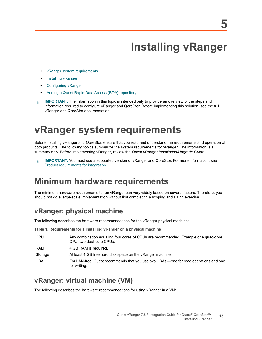# **Installing vRanger**

- <span id="page-12-0"></span>**•** [vRanger system re](#page-14-0)quirements
- **•** [Installing vRanger](#page-15-0)
- **•** [Configuring vRanger](#page-15-1)
- **•** Adding a Quest Rapid Data Access (RDA) repository
- <span id="page-12-2"></span>**IMPORTANT:** The information in this topic is intended only to provide an overview of the steps and ÷ information required to configure vRanger and QoreStor. Before implementing this solution, see the full vRanger and QoreStor documentation.

# <span id="page-12-1"></span>**vRanger system requirements**

Before installing vRanger and QoreStor, ensure that you read and understand the requirements and operation of both products. The following topics summarize the system requirements for vRanger. The information is a sum[mary only. Before implementing vRang](#page-3-2)er, review the *Quest vRanger Installation/Upgrade Guide*.

**IMPORTANT:** You must use a supported version of vRanger and QoreStor. For more information, see **Product requirements for integration.** 

## **Minimum hardware requirements**

The minimum hardware requirements to run vRanger can vary widely based on several factors. Therefore, you should not do a large-scale implementation without first completing a scoping and sizing exercise.

### **vRanger: physical machine**

The following describes the hardware recommendations for the vRanger physical machine:

**Table 1. Requirements for a installing vRanger on a physical machine**

| <b>CPU</b> | Any combination equaling four cores of CPUs are recommended. Example one quad-core<br>CPU; two dual-core CPUs. |
|------------|----------------------------------------------------------------------------------------------------------------|
| <b>RAM</b> | 4 GB RAM is required.                                                                                          |
| Storage    | At least 4 GB free hard disk space on the vRanger machine.                                                     |
| <b>HBA</b> | For LAN-free, Quest recommends that you use two HBAs—one for read operations and one<br>for writing.           |

### **vRanger: virtual machine (VM)**

The following describes the hardware recommendations for using vRanger in a VM: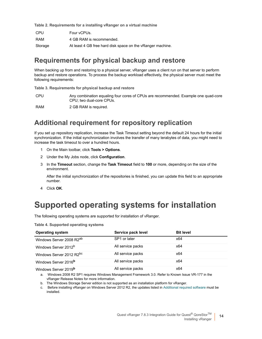**Table 2. Requirements for a installing vRanger on a virtual machine**

| CPU     | Four vCPUs.                                                |
|---------|------------------------------------------------------------|
| RAM     | 4 GB RAM is recommended.                                   |
| Storage | At least 4 GB free hard disk space on the vRanger machine. |

### **Requirements for physical backup and restore**

When backing up from and restoring to a physical server, vRanger uses a client run on that server to perform backup and restore operations. To process the backup workload effectively, the physical server must meet the following requirements:

**Table 3. Requirements for physical backup and restore**

CPU Any combination equaling four cores of CPUs are recommended. Example one quad-core CPU; two dual-core CPUs.

RAM 2 GB RAM is required.

### **Additional requirement for repository replication**

If you set up repository replication, increase the Task Timeout setting beyond the default 24 hours for the initial synchronization. If the initial synchronization involves the transfer of many terabytes of data, you might need to increase the task timeout to over a hundred hours.

- 1 On the Main toolbar, click **Tools > Options**.
- 2 Under the My Jobs node, click **Configuration**.
- 3 In the **Timeout** section, change the **Task Timeout** field to **100** or more, depending on the size of the environment.

After the initial synchronization of the repositories is finished, you can update this field to an appropriate number.

4 Click **OK**.

## **Supported operating systems for installation**

The following operating systems are supported for installation of vRanger.

**Table 4. Supported operating systems**

| <b>Operating system</b>              | Service pack level | <b>Bit level</b> |
|--------------------------------------|--------------------|------------------|
| Windows Server 2008 R2 <sup>ab</sup> | SP1 or later       | x64              |
| Windows Server 2012 <sup>b</sup>     | All service packs  | x64              |
| Windows Server 2012 R2bc             | All service packs  | x64              |
| Windows Server 2016 <sup>b</sup>     | All service packs  | x64              |
| Windows Server 2019 <sup>b</sup>     | All service packs  | x64              |

a. Windows 2008 R2 SP1 requires Windows Management Framework 3.0. Refer to Known Issue VR-177 in the vRanger Release Notes for more information.

b. The Windows Storage Server edition is not supported as an installation platform for vRanger.

Before installing vRanger on Windows Server 2012 R2, the updates listed in Additional required software must be installed.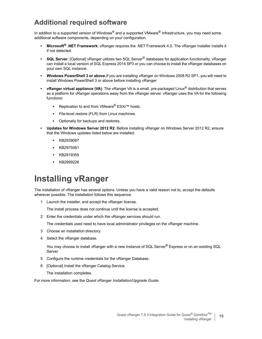### **Additional required software**

In addition to a supported version of Windows<sup>®</sup> and a supported VMware<sup>®</sup> Infrastructure, you may need some additional software components, depending on your configuration.

- **Microsoft® .NET Framework**: vRanger requires the .NET Framework 4.5. The vRanger installer installs it if not detected.
- **SQL Server**: [Optional] vRanger utilizes two SQL Server® databases for application functionality. vRanger can install a local version of SQL Express 2014 SP3 or you can choose to install the vRanger databases on your own SQL instance.
- **Windows PowerShell 3 or above.**If you are installing vRanger on Windows 2008 R2 SP1, you will need to install Windows PowerShell 3 or above before installing vRanger
- **vRanger virtual appliance (VA)**: The vRanger VA is a small, pre-packaged Linux® distribution that serves as a platform for vRanger operations away from the vRanger server. vRanger uses the VA for the following functions:
	- **▪** Replication to and from VMware® ESXi™ hosts.
	- **▪** File-level restore (FLR) from Linux machines.
	- **▪** Optionally for backups and restores.
- **Updates for Windows Server 2012 R2**: Before installing vRanger on Windows Server 2012 R2, ensure that the Windows updates listed below are installed:
	- **▪** KB2939087
	- **▪** KB2975061
	- **▪** KB2919355
	- **▪** KB2999226

## <span id="page-14-0"></span>**Installing vRanger**

The installation of vRanger has several options. Unless you have a valid reason not to, accept the defaults wherever possible. The installation follows this sequence:

1 Launch the installer, and accept the vRanger license.

The install process does not continue until the license is accepted.

2 Enter the credentials under which the vRanger services should run.

The credentials used need to have local administrator privileges on the vRanger machine.

- 3 Choose an installation directory.
- 4 Select the vRanger database.

You may choose to install vRanger with a new instance of SQL Server<sup>®</sup> Express or on an existing SQL Server.

- 5 Configure the runtime credentials for the vRanger Database.
- 6 [Optional] Install the vRanger Catalog Service.

The installation completes.

For more information, see the *Quest vRanger Installation/Upgrade Guide*.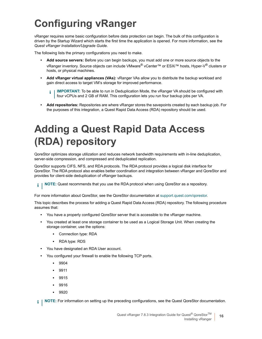# <span id="page-15-0"></span>**Configuring vRanger**

vRanger requires some basic configuration before data protection can begin. The bulk of this configuration is driven by the Startup Wizard which starts the first time the application is opened. For more information, see the *Quest vRanger Installation/Upgrade Guide*.

The following lists the primary configurations you need to make.

- **Add source servers:** Before you can begin backups, you must add one or more source objects to the vRanger inventory. Source objects can include VMware® vCenter™ or ESXi™ hosts, Hyper-V® clusters or hosts, or physical machines.
- **Add vRanger virtual appliances (VAs):** vRanger VAs allow you to distribute the backup workload and gain direct access to target VM's storage for improved performance.
	- **IMPORTANT:** To be able to run in Deduplication Mode, the vRanger VA should be configured with i.  $\mid$  four vCPUs and 2 GB of RAM. This configuration lets you run four backup jobs per VA.
- <span id="page-15-1"></span>**• Add repositories:** Repositories are where vRanger stores the savepoints created by each backup job. For the purposes of this integration, a Quest Rapid Data Access (RDA) repository should be used.

# **Adding a Quest Rapid Data Access (RDA) repository**

QoreStor optimizes storage utilization and reduces network bandwidth requirements with in-line deduplication, server-side compression, and compressed and deduplicated replication.

QoreStor supports CIFS, NFS, and RDA protocols. The RDA protocol provides a logical disk interface for QoreStor. The RDA protocol also enables better coordination and integration between vRanger and QoreStor and provides for client-side deduplication of vRanger backups.

**NOTE:** Quest recommends that you use the RDA protocol when usi[ng QoreStor as a repository.](support.quest.com/qorestor)  $\mathbf{i}$ 

For more information about QoreStor, see the QoreStor documentation at support.quest.com/qorestor.

This topic describes the process for adding a Quest Rapid Data Access (RDA) repository. The following procedure assumes that:

- **•** You have a properly configured QoreStor server that is accessible to the vRanger machine.
- **•** You created at least one storage container to be used as a Logical Storage Unit. When creating the storage container, use the options:
	- **▪** Connection type: RDA
	- **▪** RDA type: RDS
- **•** You have designated an RDA User account.
- **•** You configured your firewall to enable the following TCP ports.
	- **▪** 9904
	- **▪** 9911
	- **▪** 9915
	- **▪** 9916
	- **▪** 9920

**i** | NOTE: For information on setting up the preceding configurations, see the Quest QoreStor documentation.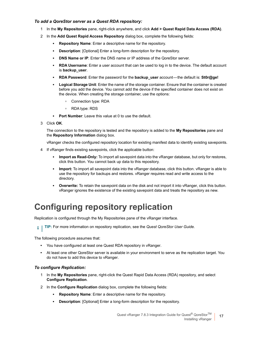### *To add a QoreStor server as a Quest RDA repository:*

- 1 In the **My Repositories** pane, right-click anywhere, and click **Add > Quest Rapid Data Access (RDA)**.
- 2 In the **Add Quest Rapid Access Repository** dialog box, complete the following fields:
	- **▪ Repository Name**: Enter a descriptive name for the repository.
	- **Description**: [Optional] Enter a long-form description for the repository.
	- **DNS Name or IP:** Enter the DNS name or IP address of the QoreStor server.
	- **RDA Username**: Enter a user account that can be used to log in to the device. The default account is **backup\_user**.
	- **▪ RDA Password**: Enter the password for the **backup\_user** account the default is: **St0r@ge!**
	- **▪ Logical Storage Unit**: Enter the name of the storage container. Ensure that the container is created before you add the device. You cannot add the device if the specified container does not exist on the device. When creating the storage container, use the options:
		- **▫** Connection type: RDA
		- **▫** RDA type: RDS
	- **▪ Port Number**: Leave this value at 0 to use the default.
- 3 Click **OK**.

The connection to the repository is tested and the repository is added to the **My Repositories** pane and the **Repository Information** dialog box.

vRanger checks the configured repository location for existing manifest data to identify existing savepoints.

- 4 If vRanger finds existing savepoints, click the applicable button:
	- **Import as Read-Only:** To import all savepoint data into the vRanger database, but only for restores, click this button. You cannot back up data to this repository.
	- **▪ Import:** To import all savepoint data into the vRanger database, click this button. vRanger is able to use the repository for backups and restores. vRanger requires read and write access to the directory.
	- **Overwrite:** To retain the savepoint data on the disk and not import it into vRanger, click this button. vRanger ignores the existence of the existing savepoint data and treats the repository as new.

## <span id="page-16-0"></span>**Configuring repository replication**

Replication is configured through the My Repositories pane of the vRanger interface.

**TIP:** For more information on repository replication, see the *Quest QoreStor User Guide.* $\mathbf{i}$ 

The following procedure assumes that:

- **•** You have configured at least one Quest RDA repository in vRanger.
- **•** At least one other QoreStor server is available in your environment to serve as the replication target. You do not have to add this device to vRanger.

#### *To configure Replication:*

- 1 In the **My Repositories** pane, right-click the Quest Rapid Data Access (RDA) repository, and select **Configure Replication**.
- 2 In the **Configure Replication** dialog box, complete the following fields:
	- **▪ Repository Name**: Enter a descriptive name for the repository.
	- **Description**: [Optional] Enter a long-form description for the repository.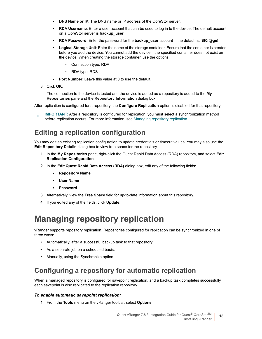- **DNS Name or IP:** The DNS name or IP address of the QoreStor server.
- **RDA Username:** Enter a user account that can be used to log in to the device. The default account on a QoreStor server is **backup\_user**.
- **▪ RDA Password**: Enter the password for the **backup\_user** account the default is: **St0r@ge!**
- **▪ Logical Storage Unit**: Enter the name of the storage container. Ensure that the container is created before you add the device. You cannot add the device if the specified container does not exist on the device. When creating the storage container, use the options:
	- **▫** Connection type: RDA
	- **▫** RDA type: RDS
- **Port Number:** Leave this value at 0 to use the default.
- 3 Click **OK** .

The connection to the device is tested and the device is added as a repository is added to the **My Repositories** pane and the **Repository Information** dialog box.

After replication is configured for a repository, the **Configure Replication** [option is disable](#page-17-0)d for that repository.

**IMPORTANT:** After a repository is configured for replication, you must select a synchronization method f. before replication occurs. For more information, see Managing repository replication.

### **Editing a replication configuration**

You may edit an existing replication configuration to update credentials or timeout values. You may also use the **Edit Repository Details** dialog box to view free space for the repository.

- 1 In the **My Repositories** pane, right-click the Quest Rapid Data Access (RDA) repository, and select **Edit Replication Configuration**.
- 2 In the **Edit Quest Rapid Data Access (RDA)** dialog box, edit any of the following fields:
	- **▪ Repository Name**
	- **▪ User Name**
	- **▪ Password**
- 3 Alternatively, view the **Free Space** field for up-to-date information about this repository.
- <span id="page-17-0"></span>4 If you edited any of the fields, click **Update**.

## **Managing repository replication**

vRanger supports repository replication. Repositories configured for replication can be synchronized in one of three ways:

- **•** Automatically, after a successful backup task to that repository.
- **•** As a separate job on a scheduled basis.
- **•** Manually, using the Synchronize option.

### **Configuring a repository for automatic replication**

When a managed repository is configured for savepoint replication, and a backup task completes successfully, each savepoint is also replicated to the replication repository.

### *To enable automatic savepoint replication:*

1 From the **Tools** menu on the vRanger toolbar, select **Options**.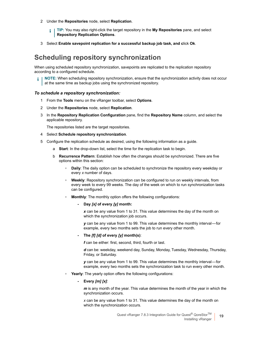- 2 Under the **Repositories** node, select **Replication**.
	- **TIP:** You may also right-click the target repository in the **My Repositories** pane, and select f. **Repository Replication Options**.
- 3 Select **Enable savepoint replication for a successful backup job task, and c**lick **Ok**.

### **Scheduling repository synchronization**

When using scheduled repository synchronization, savepoints are replicated to the replication repository according to a configured schedule.

**NOTE:** When scheduling repository synchronization, ensure that the synchronization activity does not occur at the same time as backup jobs using the synchronized repository.

#### *To schedule a repository synchronization:*

- 1 From the **Tools** menu on the vRanger toolbar, select **Options**.
- 2 Under the **Repositories** node, select **Replication**.
- 3 In the **Repository Replication Configuration** pane, find the **Repository Name** column, and select the applicable repository.

The repositories listed are the target repositories.

- 4 Select **Schedule repository synchronization**.
- 5 Configure the replication schedule as desired, using the following information as a guide.
	- a **Start**: In the drop-down list, select the time for the replication task to begin.
	- b **Recurrence Pattern**: Establish how often the changes should be synchronized. There are five options within this section:
		- **▫ Daily**: The daily option can be scheduled to synchronize the repository every weekday or every *x* number of days.
		- **■ Weekly:** Repository synchronization can be configured to run on weekly intervals, from every week to every 99 weeks. The day of the week on which to run synchronization tasks can be configured.
		- **Monthly:** The monthly option offers the following configurations:

#### **- Day** *[x]* **of every** *[y]* **month:**

*x* can be any value from 1 to 31. This value determines the day of the month on which the synchronization job occurs.

*y* can be any value from 1 to 99. This value determines the monthly interval — for example, every two months sets the job to run every other month.

#### **- The** *[f] [d]* **of every** *[y]* **month(s)**:

*f* can be either: first, second, third, fourth or last.

*d* can be: weekday, weekend day, Sunday, Monday, Tuesday, Wednesday, Thursday, Friday, or Saturday.

*y* can be any value from 1 to 99. This value determines the monthly interval — for example, every two months sets the synchronization task to run every other month.

- **▫ Yearly**: The yearly option offers the following configurations:
	- **Every** *[m] [x]*:

*m* is any month of the year. This value determines the month of the year in which the synchronization occurs.

*x* can be any value from 1 to 31. This value determines the day of the month on which the synchronization occurs.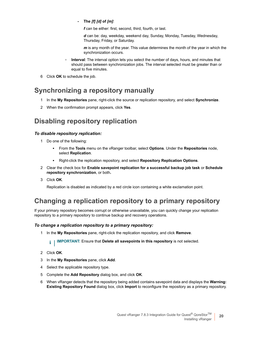**- The** *[f] [d]* **of** *[m]*:

*f* can be either: first, second, third, fourth, or last.

*d* can be: day, weekday, weekend day, Sunday, Monday, Tuesday, Wednesday, Thursday, Friday, or Saturday.

*m* is any month of the year. This value determines the month of the year in which the synchronization occurs.

- **□ Interval**: The interval option lets you select the number of days, hours, and minutes that should pass between synchronization jobs. The interval selected must be greater than or equal to five minutes.
- 6 Click **OK** to schedule the job.

### **Synchronizing a repository manually**

- 1 In the **My Repositories** pane, right-click the source or replication repository, and select **Synchronize**.
- 2 When the confirmation prompt appears, click **Yes**.

### **Disabling repository replication**

### *To disable repository replication:*

- 1 Do one of the following:
	- **▪** From the **Tools** menu on the vRanger toolbar, select **Options**. Under the **Repositories** node, select **Replication**.
	- **▪** Right-click the replication repository, and select **Repository Replication Options**.
- 2 Clear the check box for **Enable savepoint replication for a successful backup job task** or **Schedule repository synchronization**, or both**.**
- 3 Click **OK**.

Replication is disabled as indicated by a red circle icon containing a white exclamation point.

### **Changing a replication repository to a primary repository**

If your primary repository becomes corrupt or otherwise unavailable, you can quickly change your replication repository to a primary repository to continue backup and recovery operations.

### *To change a replication repository to a primary repository:*

1 In the **My Repositories** pane, right-click the replication repository, and click **Remove**.

**IMPORTANT:** Ensure that **Delete all savepoints in this repository** is not selected.i l

- 2 Click **OK**.
- 3 In the **My Repositories** pane, click **Add**.
- 4 Select the applicable repository type.
- 5 Complete the **Add Repository** dialog box, and click **OK**.
- 6 When vRanger detects that the repository being added contains savepoint data and displays the **Warning: Existing Repository Found** dialog box, click **Import** to reconfigure the repository as a primary repository.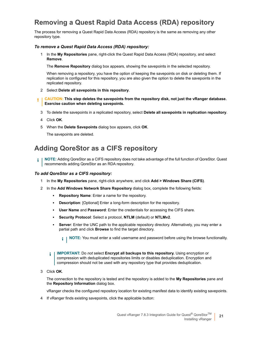### **Removing a Quest Rapid Data Access (RDA) repository**

The process for removing a Quest Rapid Data Access (RDA) repository is the same as removing any other repository type.

#### *To remove a Quest Rapid Data Access (RDA) repository:*

1 In the **My Repositories** pane, right-click the Quest Rapid Data Access (RDA) repository, and select **Remove**.

The **Remove Repository** dialog box appears, showing the savepoints in the selected repository.

When removing a repository, you have the option of keeping the savepoints on disk or deleting them. If replication is configured for this repository, you are also given the option to delete the savepoints in the replicated repository.

- 2 Select **Delete all savepoints in this repository**.
- **CAUTION: This step deletes the savepoints from the repository disk, not just the vRanger database.**  Ţ **Exercise caution when deleting savepoints.**
	- 3 To delete the savepoints in a replicated repository, select **Delete all savepoints in replication repository**.
	- 4 Click **OK**.
	- 5 When the **Delete Savepoints** dialog box appears, click **OK**.

The savepoints are deleted.

### **Adding QoreStor as a CIFS repository**

**NOTE:** Adding QoreStor as a CIFS repository does not take advantage of the full function of QoreStor. Quest  $\ddot{\bullet}$ recommends adding QoreStor as an RDA repository.

#### *To add QoreStor as a CIFS repository:*

- 1 In the **My Repositories** pane, right-click anywhere, and click **Add > Windows Share (CIFS)**.
- 2 In the **Add Windows Network Share Repository** dialog box, complete the following fields:
	- **Repository Name:** Enter a name for the repository.
	- **▪ Description**: [Optional] Enter a long-form description for the repository.
	- **User Name** and Password: Enter the credentials for accessing the CIFS share.
	- **▪ Security Protocol**: Select a protocol, **NTLM** (default) or **NTLMv2**.
	- **• Server**: Enter the UNC path to the applicable repository directory. Alternatively, you may enter a partial path and click **Browse** to find the target directory.

**i** | NOTE: You must enter a valid username and password before using the browse functionality.

- **IMPORTANT:** Do *not* select **Encrypt all backups to this repository.** Using encryption or ÷ compression with deduplicated repositories limits or disables deduplication. Encryption and compression should not be used with any repository type that provides deduplication.
- 3 Click **OK**.

The connection to the repository is tested and the repository is added to the **My Repositories** pane and the **Repository Information** dialog box.

vRanger checks the configured repository location for existing manifest data to identify existing savepoints.

4 If vRanger finds existing savepoints, click the applicable button: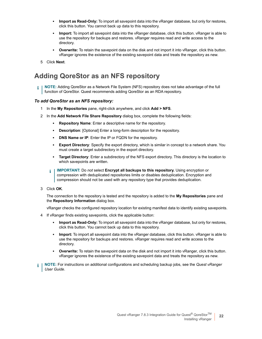- **▪ Import as Read-Only:** To import all savepoint data into the vRanger database, but only for restores, click this button. You cannot back up data to this repository.
- **▪ Import:** To import all savepoint data into the vRanger database, click this button. vRanger is able to use the repository for backups and restores. vRanger requires read and write access to the directory.
- **Overwrite:** To retain the savepoint data on the disk and not import it into vRanger, click this button. vRanger ignores the existence of the existing savepoint data and treats the repository as new.
- 5 Click **Next**.

### **Adding QoreStor as an NFS repository**

**NOTE:** Adding QoreStor as a Network File System (NFS) repository does not take advantage of the full function of QoreStor. Quest recommends adding QoreStor as an RDA repository.

#### *To add QoreStor as an NFS repository:*

- 1 In the **My Repositories** pane, right-click anywhere, and click **Add > NFS**.
- 2 In the **Add Network File Share Repository** dialog box, complete the following fields:
	- **Repository Name:** Enter a descriptive name for the repository.
	- **▪ Description**: [Optional] Enter a long-form description for the repository.
	- **DNS Name or IP:** Enter the IP or FQDN for the repository.
	- **▪ Export Directory**: Specify the export directory, which is similar in concept to a network share. You must create a target subdirectory in the export directory.
	- **▪ Target Directory**: Enter a subdirectory of the NFS export directory. This directory is the location to which savepoints are written.
	- **IMPORTANT:** Do *not* select **Encrypt all backups to this repository.** Using encryption or i I compression with deduplicated repositories limits or disables deduplication. Encryption and compression should not be used with any repository type that provides deduplication.
- 3 Click **OK**.

The connection to the repository is tested and the repository is added to the **My Repositories** pane and the **Repository Information** dialog box.

vRanger checks the configured repository location for existing manifest data to identify existing savepoints.

- 4 If vRanger finds existing savepoints, click the applicable button:
	- **▪ Import as Read-Only:** To import all savepoint data into the vRanger database, but only for restores, click this button. You cannot back up data to this repository.
	- **Import:** To import all savepoint data into the vRanger database, click this button. vRanger is able to use the repository for backups and restores. vRanger requires read and write access to the directory.
	- **▪ Overwrite:** To retain the savepoint data on the disk and not import it into vRanger, click this button. vRanger ignores the existence of the existing savepoint data and treats the repository as new.
- **NOTE:** For instructions on additional configurations and scheduling backup jobs, see the *Quest vRanger User Guide*.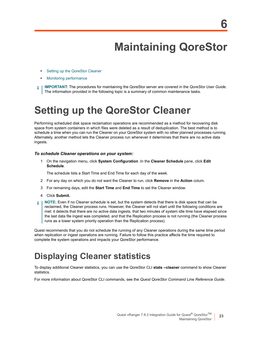**6**

# **Maintaining QoreStor**

- <span id="page-22-0"></span>**•** [Setting up the QoreStor](#page-23-0) Cleaner
- **•** Monitoring performance
- <span id="page-22-1"></span>**IMPORTANT:** The procedures for maintaining the QoreStor server are covered in the *QoreStor User Guide*. ÷ The information provided in the following topic is a summary of common maintenance tasks.

# **Setting up the QoreStor Cleaner**

Performing scheduled disk space reclamation operations are recommended as a method for recovering disk space from system containers in which files were deleted as a result of deduplication. The best method is to schedule a time when you can run the Cleaner on your QoreStor system with no other planned processes running. Alternately, another method lets the Cleaner process run whenever it determines that there are no active data ingests.

#### *To schedule Cleaner operations on your system:*

1 On the navigation menu, click **System Configuration** .In the **Cleaner Schedule** pane, click **Edit Schedule**.

The schedule lists a Start Time and End Time for each day of the week.

- 2 For any day on which you do not want the Cleaner to run, click **Remove** in the **Action** colum.
- 3 For remaining days, edit the **Start Time** and **End Time** to set the Cleaner window.
- 4 Click **Submit.**
- **NOTE:** Even if no Cleaner schedule is set, but the system detects that there is disk space that can be ÷ reclaimed, the Cleaner process runs. However, the Cleaner will not start until the following conditions are met: it detects that there are no active data ingests, that two minutes of system idle time have elapsed since the last data file ingest was completed, and that the Replication process is not running (the Cleaner process runs as a lower system priority operation than the Replication process).

<span id="page-22-2"></span>Quest recommends that you do not schedule the running of any Cleaner operations during the same time period when replication or ingest operations are running. Failure to follow this practice affects the time required to complete the system operations and impacts your QoreStor performance.

## **Displaying Cleaner statistics**

To display additional Cleaner statistics, you can use the QoreStor CLI **stats --cleaner** command to show Cleaner statistics.

For more information about QoreStor CLI commands, see the *Quest QoreStor Command Line Reference Guide*.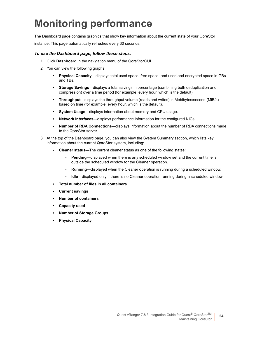# <span id="page-23-0"></span>**Monitoring performance**

The Dashboard page contains graphics that show key information about the current state of your QoreStor

instance. This page automatically refreshes every 30 seconds.

#### *To use the Dashboard page, follow these steps.*

- 1 Click **Dashboard** in the navigation menu of the QoreStor GUI.
- 2 You can view the following graphs:
	- **▪ Physical Capacity**—displays total used space, free space, and used and encrypted space in GBs and TBs.
	- **▪ Storage Savings**—displays a total savings in percentage (combining both deduplication and compression) over a time period (for example, every hour, which is the default).
	- **▪ Throughput**—displays the throughput volume (reads and writes) in Mebibytes/second (MiB/s) based on time (for example, every hour, which is the default).
	- **▪ System Usage**—displays information about memory and CPU usage.
	- **▪ Network Interfaces**—displays performance information for the configured NICs
	- **▪ Number of RDA Connections**—displays information about the number of RDA connections made to the QoreStor server.
- 3 At the top of the Dashboard page, you can also view the System Summary section, which lists key information about the current QoreStor system, including:
	- **▪ Cleaner status—**The current cleaner status as one of the following states:
		- **▫ Pending**—displayed when there is any scheduled window set and the current time is outside the scheduled window for the Cleaner operation.
		- **■ Running**—displayed when the Cleaner operation is running during a scheduled window.
		- **▫ Idle**—displayed only if there is no Cleaner operation running during a scheduled window.
	- **▪ Total number of files in all containers**
	- **▪ Current savings**
	- **▪ Number of containers**
	- **▪ Capacity used**
	- **▪ Number of Storage Groups**
	- **▪ Physical Capacity**